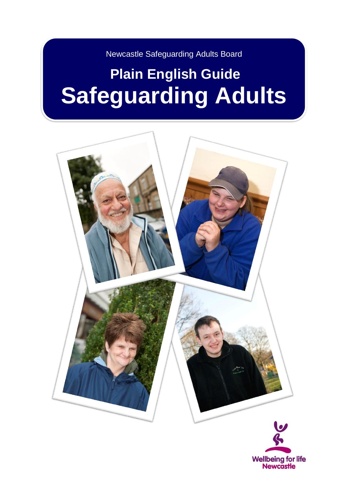Newcastle Safeguarding Adults Board

# **Plain English Guide Safeguarding Adults**

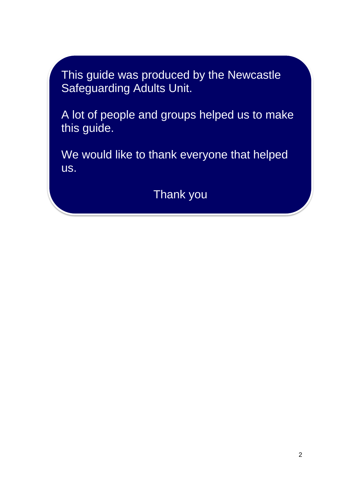This guide was produced by the Newcastle Safeguarding Adults Unit.

A lot of people and groups helped us to make this guide.

We would like to thank everyone that helped us.

Thank you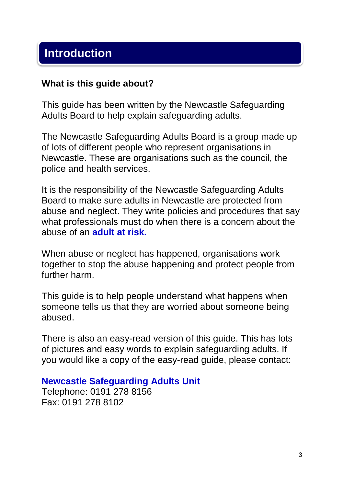# **Introduction**

#### **What is this guide about?**

This guide has been written by the Newcastle Safeguarding Adults Board to help explain safeguarding adults.

The Newcastle Safeguarding Adults Board is a group made up of lots of different people who represent organisations in Newcastle. These are organisations such as the council, the police and health services.

It is the responsibility of the Newcastle Safeguarding Adults Board to make sure adults in Newcastle are protected from abuse and neglect. They write policies and procedures that say what professionals must do when there is a concern about the abuse of an **adult at risk.**

When abuse or neglect has happened, organisations work together to stop the abuse happening and protect people from further harm.

This guide is to help people understand what happens when someone tells us that they are worried about someone being abused.

There is also an easy-read version of this guide. This has lots of pictures and easy words to explain safeguarding adults. If you would like a copy of the easy-read guide, please contact:

#### **Newcastle Safeguarding Adults Unit**

Telephone: 0191 278 8156 Fax: 0191 278 8102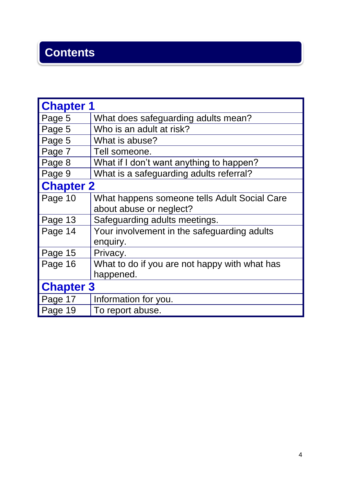# **Contents**

| <b>Chapter 1</b> |                                               |  |
|------------------|-----------------------------------------------|--|
| Page 5           | What does safeguarding adults mean?           |  |
| Page 5           | Who is an adult at risk?                      |  |
| Page 5           | What is abuse?                                |  |
| Page 7           | Tell someone.                                 |  |
| Page 8           | What if I don't want anything to happen?      |  |
| Page 9           | What is a safeguarding adults referral?       |  |
| <b>Chapter 2</b> |                                               |  |
| Page 10          | What happens someone tells Adult Social Care  |  |
|                  | about abuse or neglect?                       |  |
| Page 13          | Safeguarding adults meetings.                 |  |
| Page 14          | Your involvement in the safeguarding adults   |  |
|                  | enquiry.                                      |  |
| Page 15          | Privacy.                                      |  |
| Page 16          | What to do if you are not happy with what has |  |
|                  | happened.                                     |  |
| <b>Chapter 3</b> |                                               |  |
| Page 17          | Information for you.                          |  |
| Page 19          | To report abuse.                              |  |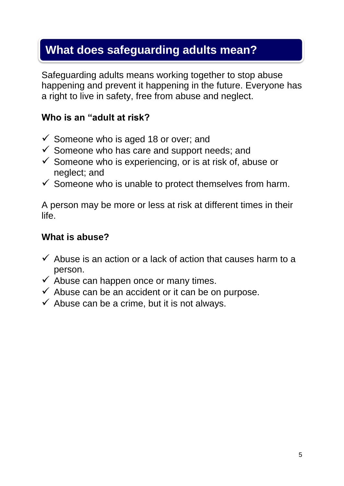# **What does safeguarding adults mean?**

Safeguarding adults means working together to stop abuse happening and prevent it happening in the future. Everyone has a right to live in safety, free from abuse and neglect.

#### **Who is an "adult at risk?**

- $\checkmark$  Someone who is aged 18 or over; and
- $\checkmark$  Someone who has care and support needs; and
- $\checkmark$  Someone who is experiencing, or is at risk of, abuse or neglect; and
- $\checkmark$  Someone who is unable to protect themselves from harm.

A person may be more or less at risk at different times in their life.

#### **What is abuse?**

- $\checkmark$  Abuse is an action or a lack of action that causes harm to a person.
- $\checkmark$  Abuse can happen once or many times.
- $\checkmark$  Abuse can be an accident or it can be on purpose.
- $\checkmark$  Abuse can be a crime, but it is not always.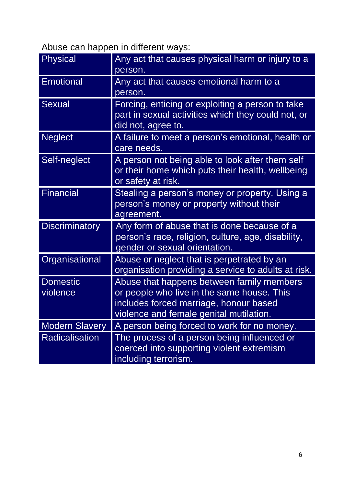Abuse can happen in different ways:

| <b>Physical</b>             | Any act that causes physical harm or injury to a<br>person.                                                                                                                  |
|-----------------------------|------------------------------------------------------------------------------------------------------------------------------------------------------------------------------|
| <b>Emotional</b>            | Any act that causes emotional harm to a<br>person.                                                                                                                           |
| <b>Sexual</b>               | Forcing, enticing or exploiting a person to take<br>part in sexual activities which they could not, or<br>did not, agree to.                                                 |
| <b>Neglect</b>              | A failure to meet a person's emotional, health or<br>care needs.                                                                                                             |
| Self-neglect                | A person not being able to look after them self<br>or their home which puts their health, wellbeing<br>or safety at risk.                                                    |
| <b>Financial</b>            | Stealing a person's money or property. Using a<br>person's money or property without their<br>agreement.                                                                     |
| <b>Discriminatory</b>       | Any form of abuse that is done because of a<br>person's race, religion, culture, age, disability,<br>gender or sexual orientation.                                           |
| Organisational              | Abuse or neglect that is perpetrated by an<br>organisation providing a service to adults at risk.                                                                            |
| <b>Domestic</b><br>violence | Abuse that happens between family members<br>or people who live in the same house. This<br>includes forced marriage, honour based<br>violence and female genital mutilation. |
| <b>Modern Slavery</b>       | A person being forced to work for no money.                                                                                                                                  |
| Radicalisation              | The process of a person being influenced or<br>coerced into supporting violent extremism<br>including terrorism.                                                             |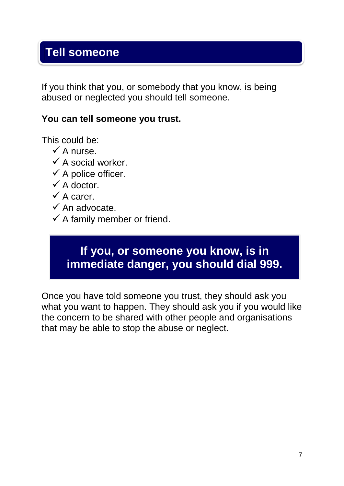# **Tell someone**

If you think that you, or somebody that you know, is being abused or neglected you should tell someone.

#### **You can tell someone you trust.**

This could be:

- $\checkmark$  A nurse.
- $\checkmark$  A social worker.
- $\checkmark$  A police officer.
- $\checkmark$  A doctor.
- $\checkmark$  A carer.
- $\checkmark$  An advocate.
- $\checkmark$  A family member or friend.

### **If you, or someone you know, is in immediate danger, you should dial 999.**

Once you have told someone you trust, they should ask you what you want to happen. They should ask you if you would like the concern to be shared with other people and organisations that may be able to stop the abuse or neglect.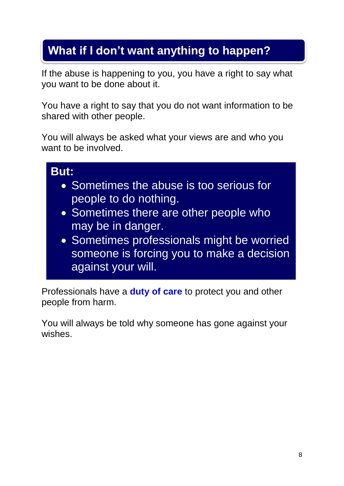# **What if I don't want anything to happen?**

If the abuse is happening to you, you have a right to say what you want to be done about it.

You have a right to say that you do not want information to be shared with other people.

You will always be asked what your views are and who you want to be involved.

# **But:** • Sometimes the abuse is too serious for people to do nothing. • Sometimes there are other people who may be in danger. • Sometimes professionals might be worried

someone is forcing you to make a decision against your will.

Professionals have a **duty of care** to protect you and other people from harm.

You will always be told why someone has gone against your wishes.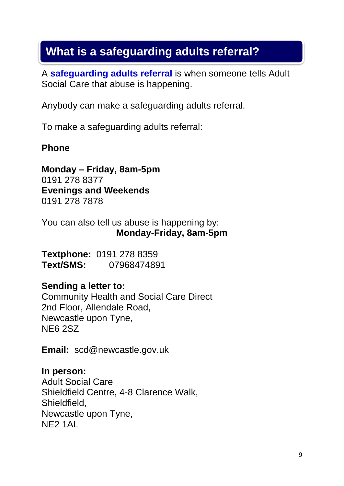# **What is a safeguarding adults referral?**

A **safeguarding adults referral** is when someone tells Adult Social Care that abuse is happening.

Anybody can make a safeguarding adults referral.

To make a safeguarding adults referral:

#### **Phone**

**Monday – Friday, 8am-5pm** 0191 278 8377 **Evenings and Weekends** 0191 278 7878

You can also tell us abuse is happening by: **Monday-Friday, 8am-5pm**

**Textphone:** 0191 278 8359 **Text/SMS:** 07968474891

#### **Sending a letter to:**

Community Health and Social Care Direct 2nd Floor, Allendale Road, Newcastle upon Tyne, NE6 2SZ

**Email:** scd@newcastle.gov.uk

**In person:** Adult Social Care Shieldfield Centre, 4-8 Clarence Walk, Shieldfield, Newcastle upon Tyne, NE2 1AL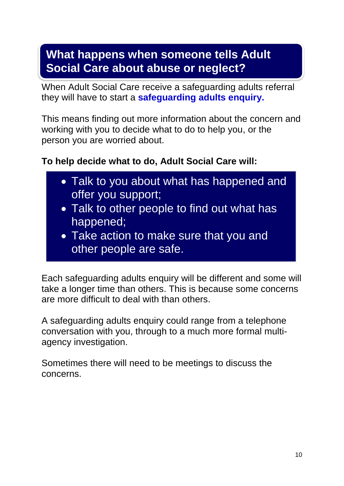# **What happens when someone tells Adult Social Care about abuse or neglect?**

When Adult Social Care receive a safeguarding adults referral they will have to start a **safeguarding adults enquiry.**

This means finding out more information about the concern and working with you to decide what to do to help you, or the person you are worried about.

#### **To help decide what to do, Adult Social Care will:**

- Talk to you about what has happened and offer you support;
- Talk to other people to find out what has happened;
- Take action to make sure that you and other people are safe.

Each safeguarding adults enquiry will be different and some will take a longer time than others. This is because some concerns are more difficult to deal with than others.

A safeguarding adults enquiry could range from a telephone conversation with you, through to a much more formal multiagency investigation.

Sometimes there will need to be meetings to discuss the concerns.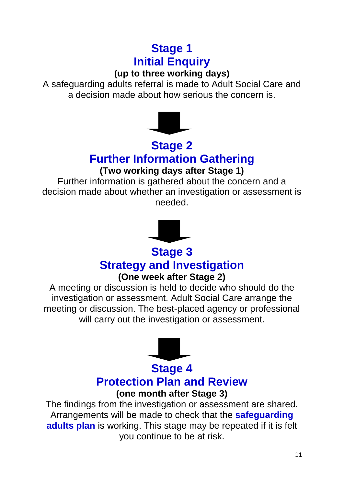# **Stage 1 Initial Enquiry**

#### **(up to three working days)**

A safeguarding adults referral is made to Adult Social Care and a decision made about how serious the concern is.



# **Stage 2**

# **Further Information Gathering**

#### **(Two working days after Stage 1)**

Further information is gathered about the concern and a decision made about whether an investigation or assessment is needed.



# **Stage 3 Strategy and Investigation**

#### **(One week after Stage 2)**

A meeting or discussion is held to decide who should do the investigation or assessment. Adult Social Care arrange the meeting or discussion. The best-placed agency or professional will carry out the investigation or assessment.



#### **Stage 4 Protection Plan and Review (one month after Stage 3)**

The findings from the investigation or assessment are shared. Arrangements will be made to check that the **safeguarding adults plan** is working. This stage may be repeated if it is felt you continue to be at risk.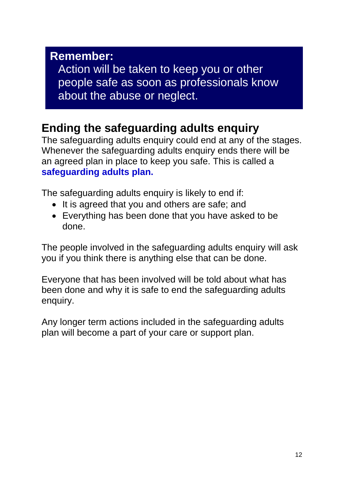#### **Remember:**

Action will be taken to keep you or other people safe as soon as professionals know about the abuse or neglect.

# **Ending the safeguarding adults enquiry**

The safeguarding adults enquiry could end at any of the stages. Whenever the safeguarding adults enquiry ends there will be an agreed plan in place to keep you safe. This is called a **safeguarding adults plan.** 

The safeguarding adults enquiry is likely to end if:

- It is agreed that you and others are safe; and
- Everything has been done that you have asked to be done.

The people involved in the safeguarding adults enquiry will ask you if you think there is anything else that can be done.

Everyone that has been involved will be told about what has been done and why it is safe to end the safeguarding adults enquiry.

Any longer term actions included in the safeguarding adults plan will become a part of your care or support plan.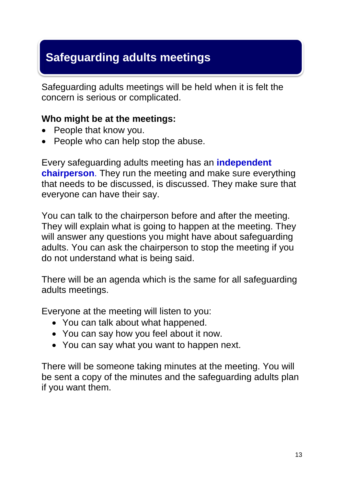# **Safeguarding adults meetings**

Safeguarding adults meetings will be held when it is felt the concern is serious or complicated.

#### **Who might be at the meetings:**

- People that know you.
- People who can help stop the abuse.

Every safeguarding adults meeting has an **independent chairperson**. They run the meeting and make sure everything that needs to be discussed, is discussed. They make sure that everyone can have their say.

You can talk to the chairperson before and after the meeting. They will explain what is going to happen at the meeting. They will answer any questions you might have about safeguarding adults. You can ask the chairperson to stop the meeting if you do not understand what is being said.

There will be an agenda which is the same for all safeguarding adults meetings.

Everyone at the meeting will listen to you:

- You can talk about what happened.
- You can say how you feel about it now.
- You can say what you want to happen next.

There will be someone taking minutes at the meeting. You will be sent a copy of the minutes and the safeguarding adults plan if you want them.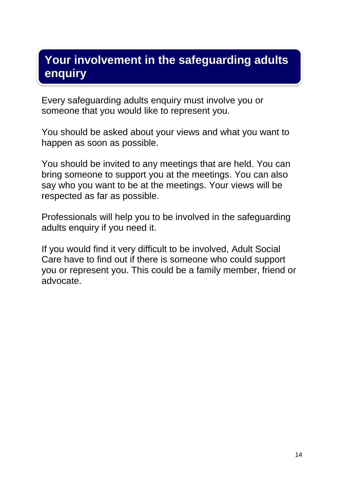### **Your involvement in the safeguarding adults enquiry**

Every safeguarding adults enquiry must involve you or someone that you would like to represent you.

You should be asked about your views and what you want to happen as soon as possible.

You should be invited to any meetings that are held. You can bring someone to support you at the meetings. You can also say who you want to be at the meetings. Your views will be respected as far as possible.

Professionals will help you to be involved in the safeguarding adults enquiry if you need it.

If you would find it very difficult to be involved, Adult Social Care have to find out if there is someone who could support you or represent you. This could be a family member, friend or advocate.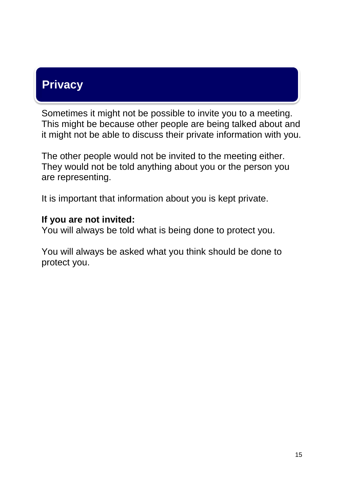# **Privacy**

Sometimes it might not be possible to invite you to a meeting. This might be because other people are being talked about and it might not be able to discuss their private information with you.

The other people would not be invited to the meeting either. They would not be told anything about you or the person you are representing.

It is important that information about you is kept private.

#### **If you are not invited:**

You will always be told what is being done to protect you.

You will always be asked what you think should be done to protect you.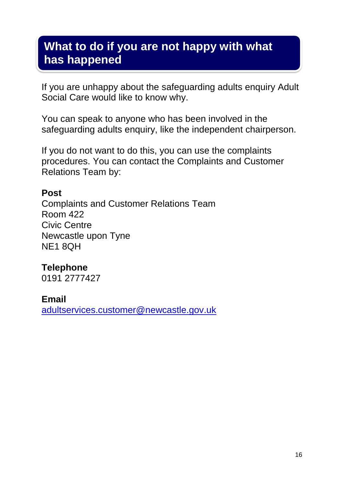### **What to do if you are not happy with what has happened**

If you are unhappy about the safeguarding adults enquiry Adult Social Care would like to know why.

You can speak to anyone who has been involved in the safeguarding adults enquiry, like the independent chairperson.

If you do not want to do this, you can use the complaints procedures. You can contact the Complaints and Customer Relations Team by:

#### **Post**

Complaints and Customer Relations Team Room 422 Civic Centre Newcastle upon Tyne NE1 8QH

#### **Telephone**

0191 2777427

#### **Email**

[adultservices.customer@newcastle.gov.uk](mailto:adultservices.customer@newcastle.gov.uk)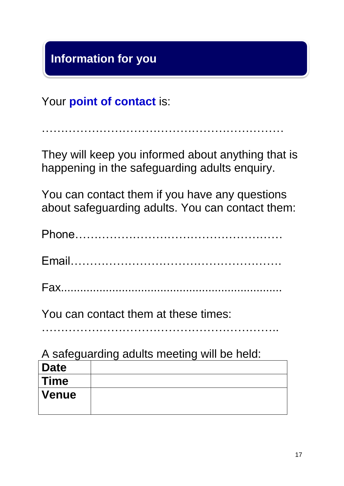# **Information for you**

Your **point of contact** is:

………………………………………………………

They will keep you informed about anything that is happening in the safeguarding adults enquiry.

You can contact them if you have any questions about safeguarding adults. You can contact them:

| You can contact them at these times:        |
|---------------------------------------------|
| A safaquarding adults meeting will be held: |

| <b>A saleguarung addits moding will be note.</b> |  |  |
|--------------------------------------------------|--|--|
| <b>Date</b>                                      |  |  |
| Time                                             |  |  |
| <b>Venue</b>                                     |  |  |
|                                                  |  |  |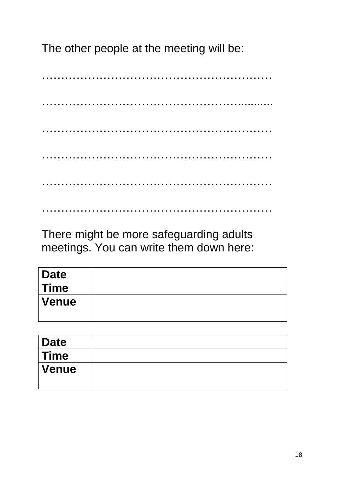The other people at the meeting will be:

…………………………………………………… ……………………………………………………………………………………… ………………………………………………………………………………………… …………………………………………………… ……………………………………………………

There might be more safeguarding adults meetings. You can write them down here:

| <b>Date</b> |  |
|-------------|--|
| $\mid$ Time |  |
| Venue       |  |

……………………………………………………

| Date  |  |
|-------|--|
| Time  |  |
| Venue |  |
|       |  |